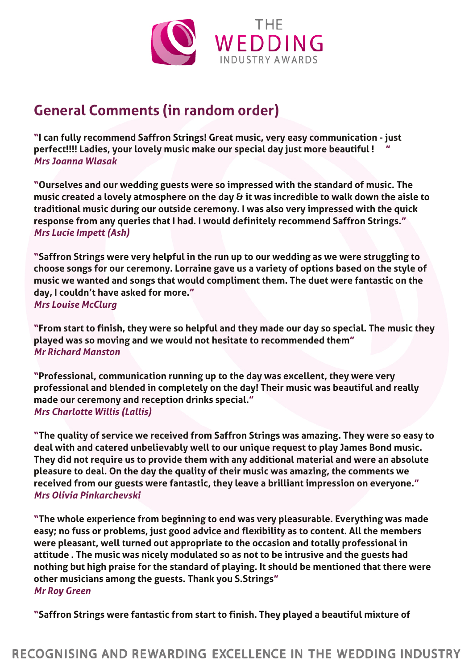

## **General Comments (in random order)**

**"I can fully recommend Saffron Strings! Great music, very easy communication - just perfect!!!! Ladies, your lovely music make our special day just more beautiful !"** *Mrs Joanna Wlasak*

**"Ourselves and our wedding guests were so impressed with the standard of music. The music created a lovely atmosphere on the day & it was incredible to walk down the aisle to traditional music during our outside ceremony. I was also very impressed with the quick response from any queries that I had. I would definitely recommend Saffron Strings."** *Mrs Lucie Impett (Ash)*

**"Saffron Strings were very helpful in the run up to our wedding as we were struggling to choose songs for our ceremony. Lorraine gave us a variety of options based on the style of music we wanted and songs that would compliment them. The duet were fantastic on the day, I couldn't have asked for more."** *Mrs Louise McClurg*

**"From start to finish, they were so helpful and they made our day so special. The music they played was so moving and we would not hesitate to recommended them"** *Mr Richard Manston*

**"Professional, communication running up to the day was excellent, they were very professional and blended in completely on the day! Their music was beautiful and really made our ceremony and reception drinks special."** *Mrs Charlotte Willis (Lallis)*

**"The quality of service we received from Saffron Strings was amazing. They were so easy to deal with and catered unbelievably well to our unique request to play James Bond music. They did not require us to provide them with any additional material and were an absolute pleasure to deal. On the day the quality of their music was amazing, the comments we received from our guests were fantastic, they leave a brilliant impression on everyone."** *Mrs Olivia Pinkarchevski*

**"The whole experience from beginning to end was very pleasurable. Everything was made easy; no fuss or problems, just good advice and flexibility as to content. All the members were pleasant, well turned out appropriate to the occasion and totally professional in attitude . The music was nicely modulated so as not to be intrusive and the guests had nothing but high praise for the standard of playing. It should be mentioned that there were other musicians among the guests. Thank you S.Strings"** *Mr Roy Green*

**"Saffron Strings were fantastic from start to finish. They played a beautiful mixture of**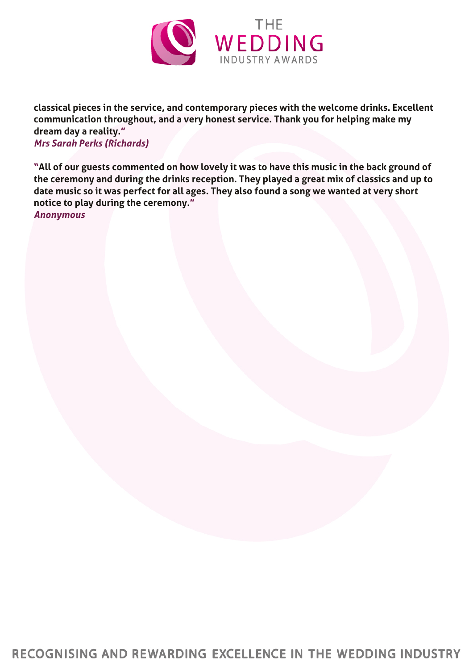

**classical pieces in the service, and contemporary pieces with the welcome drinks. Excellent communication throughout, and a very honest service. Thank you for helping make my dream day a reality."**

*Mrs Sarah Perks (Richards)*

**"All of our guests commented on how lovely it was to have this music in the back ground of the ceremony and during the drinks reception. They played a great mix of classics and up to date music so it was perfect for all ages. They also found a song we wanted at very short notice to play during the ceremony."** *Anonymous*